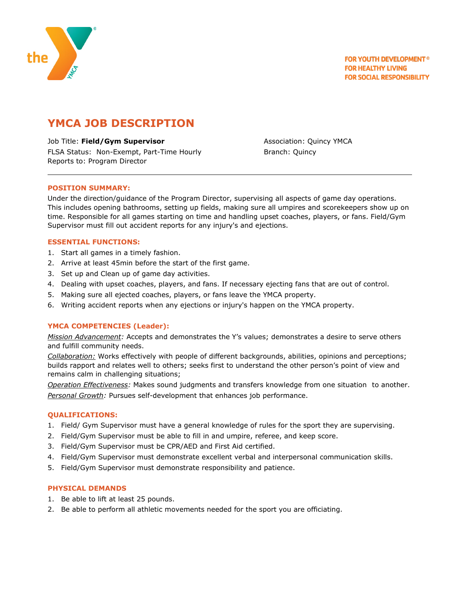

# **YMCA JOB DESCRIPTION**

Job Title: **Field/Gym Supervisor** Association: Quincy YMCA FLSA Status: Non-Exempt, Part-Time Hourly The Branch: Quincy Reports to: Program Director

## **POSITION SUMMARY:**

Under the direction/guidance of the Program Director, supervising all aspects of game day operations. This includes opening bathrooms, setting up fields, making sure all umpires and scorekeepers show up on time. Responsible for all games starting on time and handling upset coaches, players, or fans. Field/Gym Supervisor must fill out accident reports for any injury's and ejections.

## **ESSENTIAL FUNCTIONS:**

- 1. Start all games in a timely fashion.
- 2. Arrive at least 45min before the start of the first game.
- 3. Set up and Clean up of game day activities.
- 4. Dealing with upset coaches, players, and fans. If necessary ejecting fans that are out of control.
- 5. Making sure all ejected coaches, players, or fans leave the YMCA property.
- 6. Writing accident reports when any ejections or injury's happen on the YMCA property.

## **YMCA COMPETENCIES (Leader):**

*Mission Advancement:* Accepts and demonstrates the Y's values; demonstrates a desire to serve others and fulfill community needs.

*Collaboration:* Works effectively with people of different backgrounds, abilities, opinions and perceptions; builds rapport and relates well to others; seeks first to understand the other person's point of view and remains calm in challenging situations;

*Operation Effectiveness:* Makes sound judgments and transfers knowledge from one situation to another. *Personal Growth:* Pursues self-development that enhances job performance.

## **QUALIFICATIONS:**

- 1. Field/ Gym Supervisor must have a general knowledge of rules for the sport they are supervising.
- 2. Field/Gym Supervisor must be able to fill in and umpire, referee, and keep score.
- 3. Field/Gym Supervisor must be CPR/AED and First Aid certified.
- 4. Field/Gym Supervisor must demonstrate excellent verbal and interpersonal communication skills.
- 5. Field/Gym Supervisor must demonstrate responsibility and patience.

## **PHYSICAL DEMANDS**

- 1. Be able to lift at least 25 pounds.
- 2. Be able to perform all athletic movements needed for the sport you are officiating.